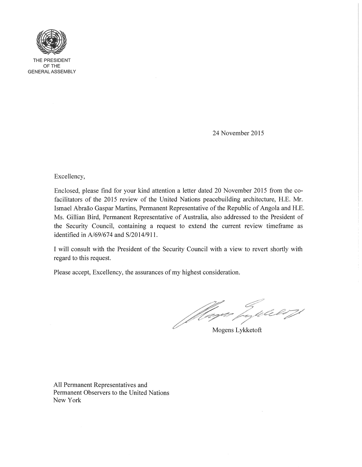

THE PRESIDENT OFTHE GENERAL ASSEMBLY

24 November 2015

Excellency,

Enclosed, please find for your kind attention a letter dated 20 November 2015 from the cofacilitators of the 2015 review of the United Nations peacebuilding architecture, H.E. Mr. Ismael Abraao Gaspar Martins, Permanent Representative of the Republic of Angola and H.E. Ms. Gillian Bird, Permanent Representative of Australia, also addressed to the President of the Security Council, containing a request to extend the current review timeframe as identified in A/69/674 and S/2014/911.

I will consult with the President of the Security Council with a view to revert shortly with regard to this request.

Please accept, Excellency, the assurances of my highest consideration.

Magas Lykketoft

All Permanent Representatives and Permanent Observers to the United Nations New York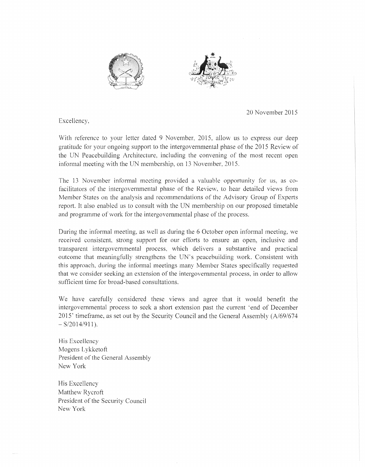



20 November 2015

Excellency,

With reference to your letter dated 9 November, 2015, allow us to express our deep gratitude for your ongoing support to the intergovernmental phase of the 2015 Review of the UN Peacebuilding Architecture, including the convening of the most recent open infonnal meeting with the UN membership, on 13 November, 2015.

The 13 November informal meeting provided a valuable opportunity for us, as cofacilitators of the intergovernmental phase of the Review, to hear detailed views from Member States on the analysis and recommendations of the Advisory Group of Experts report. It also enabled us to consult with the UN membership on our proposed timetable and programme of work for the intergovernmental phase of the process.

During the informal meeting, as well as during the 6 October open infonnal meeting, we received consistent, strong support for our efforts to ensure an open, inclusive and transparent intergovernmental process, which delivers a substantive and practical outcome that meaningfully strengthens the UN's peacebuilding work. Consistent with this approach, during the infonnal meetings many Member States specifically requested that we consider seeking an extension of the intergovernmental process, in order to allow sufficient time for broad-based consultations.

We have carefully considered these views and agree that it would benefit the intergovernmental process to seek a short extension past the current 'end of December 2015' timeframe, as set out by the Security Council and the. General Assembly (A/69/674  $-S/2014/911$ ).

His Excellency .Mogens Lykketoft President of the General Assembly New York

His Excellency Matthew Rycroft President of the Security Council New York